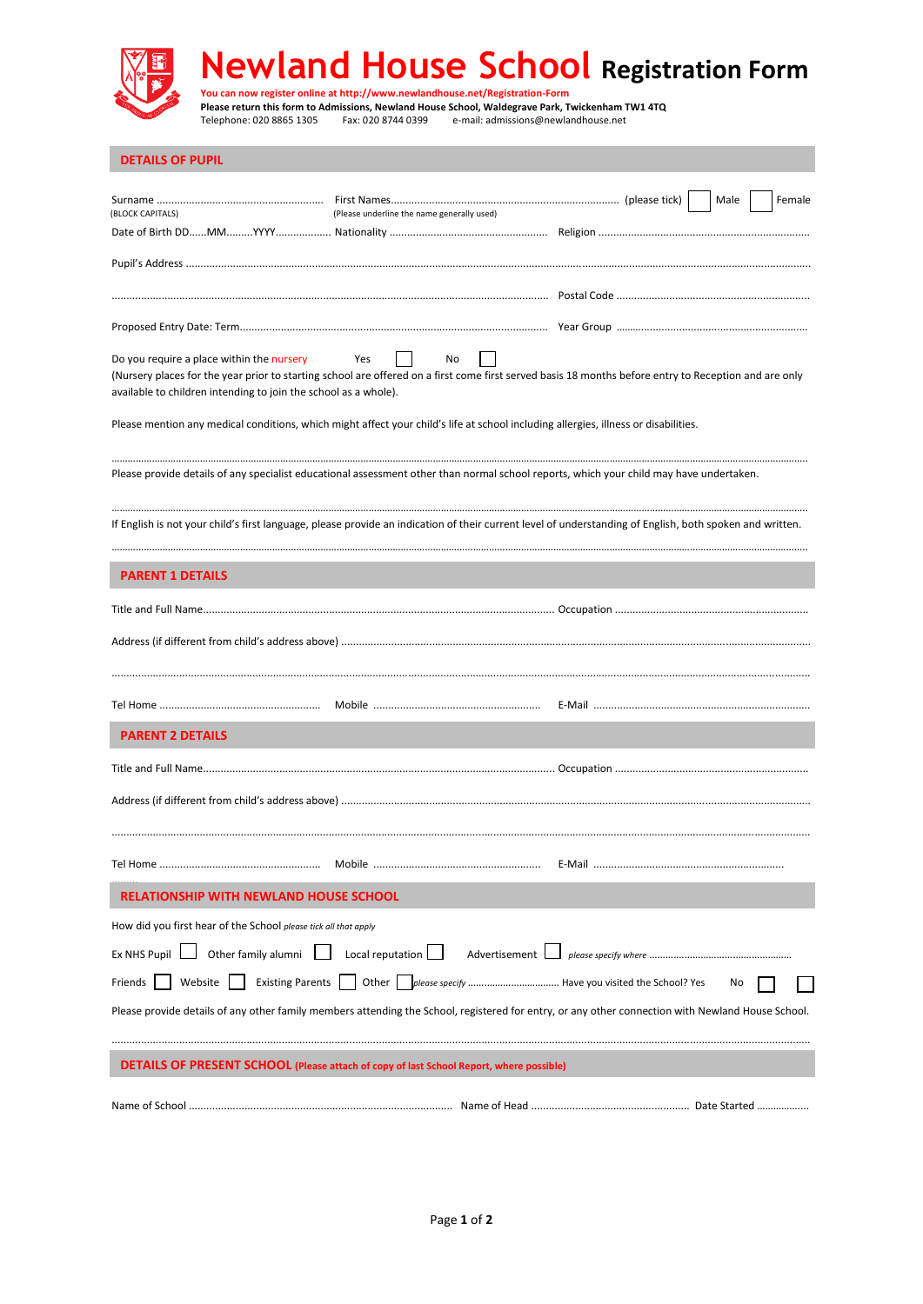

| <b>DETAILS OF PUPIL</b>                                                                                                                                                                                                                                                            |                                            |                                                                                                                                                          |  |
|------------------------------------------------------------------------------------------------------------------------------------------------------------------------------------------------------------------------------------------------------------------------------------|--------------------------------------------|----------------------------------------------------------------------------------------------------------------------------------------------------------|--|
| (BLOCK CAPITALS)                                                                                                                                                                                                                                                                   | (Please underline the name generally used) | Female<br>Male                                                                                                                                           |  |
|                                                                                                                                                                                                                                                                                    |                                            |                                                                                                                                                          |  |
|                                                                                                                                                                                                                                                                                    |                                            |                                                                                                                                                          |  |
|                                                                                                                                                                                                                                                                                    |                                            |                                                                                                                                                          |  |
|                                                                                                                                                                                                                                                                                    |                                            |                                                                                                                                                          |  |
| Do you require a place within the nursery<br>Yes<br>No<br>(Nursery places for the year prior to starting school are offered on a first come first served basis 18 months before entry to Reception and are only<br>available to children intending to join the school as a whole). |                                            |                                                                                                                                                          |  |
| Please mention any medical conditions, which might affect your child's life at school including allergies, illness or disabilities.                                                                                                                                                |                                            |                                                                                                                                                          |  |
| Please provide details of any specialist educational assessment other than normal school reports, which your child may have undertaken.                                                                                                                                            |                                            |                                                                                                                                                          |  |
|                                                                                                                                                                                                                                                                                    |                                            | If English is not your child's first language, please provide an indication of their current level of understanding of English, both spoken and written. |  |
| <b>PARENT 1 DETAILS</b>                                                                                                                                                                                                                                                            |                                            |                                                                                                                                                          |  |
|                                                                                                                                                                                                                                                                                    |                                            |                                                                                                                                                          |  |
|                                                                                                                                                                                                                                                                                    |                                            |                                                                                                                                                          |  |
|                                                                                                                                                                                                                                                                                    |                                            |                                                                                                                                                          |  |
|                                                                                                                                                                                                                                                                                    |                                            |                                                                                                                                                          |  |
|                                                                                                                                                                                                                                                                                    |                                            |                                                                                                                                                          |  |
| <b>PARENT 2 DETAILS</b>                                                                                                                                                                                                                                                            |                                            |                                                                                                                                                          |  |
|                                                                                                                                                                                                                                                                                    |                                            |                                                                                                                                                          |  |
|                                                                                                                                                                                                                                                                                    |                                            |                                                                                                                                                          |  |
|                                                                                                                                                                                                                                                                                    |                                            | E-Mail                                                                                                                                                   |  |
| <b>RELATIONSHIP WITH NEWLAND HOUSE SCHOOL</b>                                                                                                                                                                                                                                      |                                            |                                                                                                                                                          |  |
| How did you first hear of the School please tick all that apply                                                                                                                                                                                                                    |                                            |                                                                                                                                                          |  |
| Ex NHS Pupil $\Box$ Other family alumni $\Box$                                                                                                                                                                                                                                     | Local reputation $\Box$<br>Advertisement L |                                                                                                                                                          |  |
| Website<br>Friends                                                                                                                                                                                                                                                                 |                                            | No                                                                                                                                                       |  |
|                                                                                                                                                                                                                                                                                    |                                            | Please provide details of any other family members attending the School, registered for entry, or any other connection with Newland House School.        |  |
|                                                                                                                                                                                                                                                                                    |                                            |                                                                                                                                                          |  |
| <b>DETAILS OF PRESENT SCHOOL (Please attach of copy of last School Report, where possible)</b>                                                                                                                                                                                     |                                            |                                                                                                                                                          |  |
|                                                                                                                                                                                                                                                                                    |                                            |                                                                                                                                                          |  |